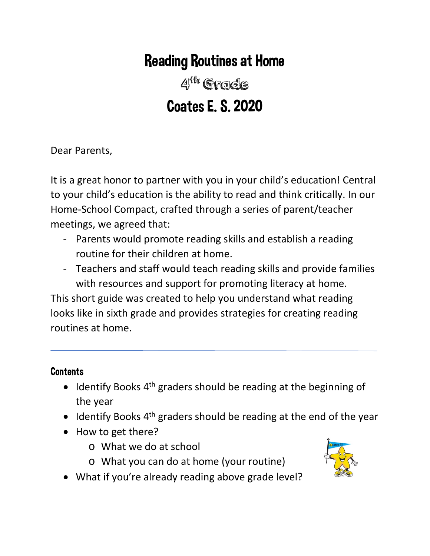# Reading Routines at Home

4th Grade Coates E. S. 2020

Dear Parents,

It is a great honor to partner with you in your child's education! Central to your child's education is the ability to read and think critically. In our Home-School Compact, crafted through a series of parent/teacher meetings, we agreed that:

- Parents would promote reading skills and establish a reading routine for their children at home.
- Teachers and staff would teach reading skills and provide families with resources and support for promoting literacy at home.

This short guide was created to help you understand what reading looks like in sixth grade and provides strategies for creating reading routines at home.

## **Contents**

- Identify Books  $4<sup>th</sup>$  graders should be reading at the beginning of the year
- $\bullet$  Identify Books 4<sup>th</sup> graders should be reading at the end of the year
- How to get there?
	- o What we do at school
	- o What you can do at home (your routine)
- 
- What if you're already reading above grade level?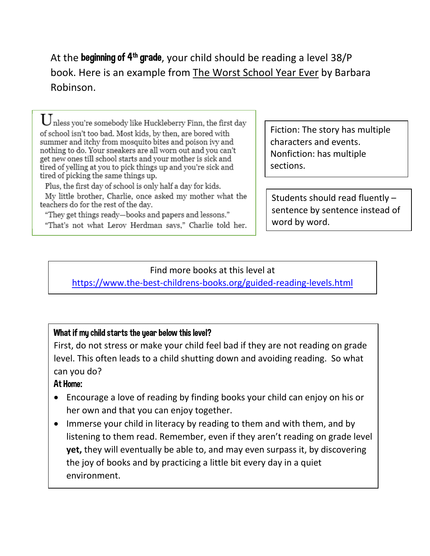At the beginning of  $4<sup>th</sup>$  grade, your child should be reading a level 38/P book. Here is an example from The Worst School Year Ever by Barbara Robinson.

nless you're somebody like Huckleberry Finn, the first day  $\cup$ of school isn't too bad. Most kids, by then, are bored with summer and itchy from mosquito bites and poison ivy and nothing to do. Your sneakers are all worn out and you can't get new ones till school starts and your mother is sick and tired of yelling at you to pick things up and you're sick and tired of picking the same things up.

Plus, the first day of school is only half a day for kids.

My little brother, Charlie, once asked my mother what the teachers do for the rest of the day.

"They get things ready—books and papers and lessons."

"That's not what Leroy Herdman says," Charlie told her.

Fiction: The story has multiple characters and events. Nonfiction: has multiple sections.

Students should read fluently – sentence by sentence instead of word by word.

Find more books at this level at <https://www.the-best-childrens-books.org/guided-reading-levels.html>

## What if my child starts the year below this level?

 $\overline{a}$ 

First, do not stress or make your child feel bad if they are not reading on grade level. This often leads to a child shutting down and avoiding reading. So what can you do?

## At Home:

- Encourage a love of reading by finding books your child can enjoy on his or her own and that you can enjoy together.
- Immerse your child in literacy by reading to them and with them, and by listening to them read. Remember, even if they aren't reading on grade level **yet,** they will eventually be able to, and may even surpass it, by discovering the joy of books and by practicing a little bit every day in a quiet environment.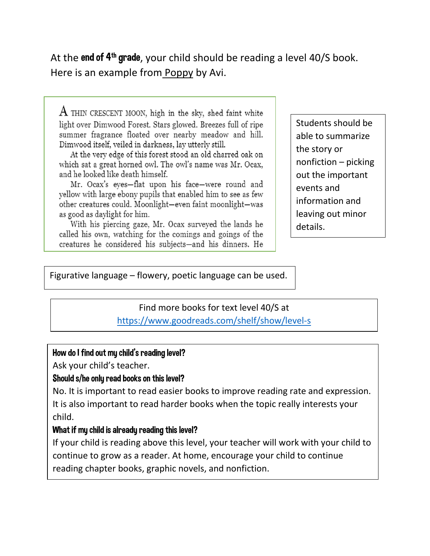At the end of  $4<sup>th</sup>$  grade, your child should be reading a level 40/S book. Here is an example from Poppy by Avi.

 $\rm A$  THIN CRESCENT MOON, high in the sky, shed faint white light over Dimwood Forest. Stars glowed. Breezes full of ripe summer fragrance floated over nearby meadow and hill. Dimwood itself, veiled in darkness, lay utterly still.

At the very edge of this forest stood an old charred oak on which sat a great horned owl. The owl's name was Mr. Ocax, and he looked like death himself.

Mr. Ocax's eves-flat upon his face-were round and yellow with large ebony pupils that enabled him to see as few other creatures could. Moonlight-even faint moonlight-was as good as daylight for him.

With his piercing gaze, Mr. Ocax surveyed the lands he called his own, watching for the comings and goings of the creatures he considered his subjects-and his dinners. He

Students should be able to summarize the story or nonfiction – picking out the important events and information and leaving out minor details.

Figurative language – flowery, poetic language can be used.

## Find more books for text level 40/S at <https://www.goodreads.com/shelf/show/level-s>

#### How do I find out my child's reading level?

Ask your child's teacher.

#### Should s/he only read books on this level?

No. It is important to read easier books to improve reading rate and expression. It is also important to read harder books when the topic really interests your child.

#### What if my child is already reading this level?

If your child is reading above this level, your teacher will work with your child to continue to grow as a reader. At home, encourage your child to continue reading chapter books, graphic novels, and nonfiction.